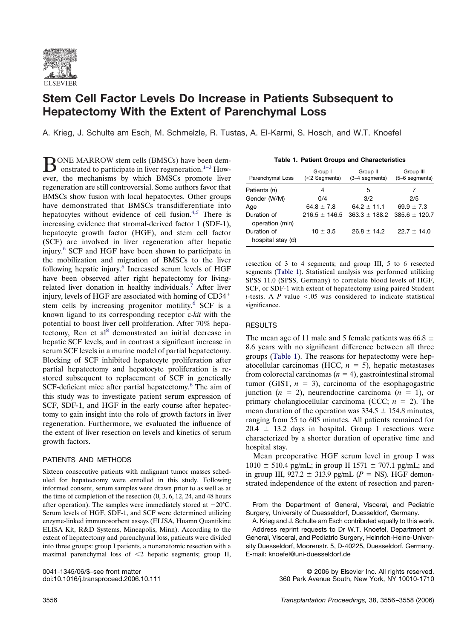

# **Stem Cell Factor Levels Do Increase in Patients Subsequent to Hepatectomy With the Extent of Parenchymal Loss**

A. Krieg, J. Schulte am Esch, M. Schmelzle, R. Tustas, A. El-Karmi, S. Hosch, and W.T. Knoefel

BONE MARROW stem cells (BMSCs) have b[een](#page-1-0) dem-<br>onstrated to participate in liver regeneration.<sup>1–3</sup> However, the mechanisms by which BMSCs promote liver regeneration are still controversial. Some authors favor that BMSCs show fusion with local hepatocytes. Other groups have demonstrated that BMSCs transdifferentiate into hepatocytes without evidence of cell fusion.<sup>4,5</sup> There is increasing evidence that stromal-derived factor 1 (SDF-1), hepatocyte growth factor (HGF), and stem cell factor (SCF) are involved in liver regeneration after hepatic injury[.6](#page-2-0) SCF and HGF have been shown to participate in the mobilization and migration of BMSCs to the liver following hepatic injury.<sup>6</sup> Increased serum levels of HGF have been observed after right hepatectomy for livingrelated liver donation in healthy individuals.<sup>7</sup> After liver injury, levels of HGF are associated with homing of CD34 stem cells by increasing progenitor motility.<sup>6</sup> SCF is a known ligand to its corresponding receptor c-*kit* with the potential to boost liver cell proliferation. After 70% hepatectomy, Ren et al<sup>8</sup> demonstrated an initial decrease in hepatic SCF levels, and in contrast a significant increase in serum SCF levels in a murine model of partial hepatectomy. Blocking of SCF inhibited hepatocyte proliferation after partial hepatectomy and hepatocyte proliferation is restored subsequent to replacement of SCF in genetically SCF-deficient mice after partial hepatectomy.<sup>8</sup> The aim of this study was to investigate patient serum expression of SCF, SDF-1, and HGF in the early course after hepatectomy to gain insight into the role of growth factors in liver regeneration. Furthermore, we evaluated the influence of the extent of liver resection on levels and kinetics of serum growth factors.

### PATIENTS AND METHODS

Sixteen consecutive patients with malignant tumor masses scheduled for hepatectomy were enrolled in this study. Following informed consent, serum samples were drawn prior to as well as at the time of completion of the resection (0, 3, 6, 12, 24, and 48 hours after operation). The samples were immediately stored at  $-20^{\circ}$ C. Serum levels of HGF, SDF-1, and SCF were determined utilizing enzyme-linked immunosorbent assays (ELISA, Huamn Quantikine ELISA Kit, R&D Systems, Mineapolis, Minn). According to the extent of hepatectomy and parenchymal loss, patients were divided into three groups: group I patients, a nonanatomic resection with a maximal parenchymal loss of  $\leq$ 2 hepatic segments; group II,

| <b>Table 1. Patient Groups and Characteristics</b> |                             |                            |                             |
|----------------------------------------------------|-----------------------------|----------------------------|-----------------------------|
| Parenchymal Loss                                   | Group I<br>$(<$ 2 Segments) | Group II<br>(3-4 segments) | Group III<br>(5-6 segments) |
| Patients (n)                                       | 4                           | 5                          |                             |
| Gender (W/M)                                       | 0/4                         | 3/2                        | 2/5                         |
| Aqe                                                | $64.8 \pm 7.8$              | $64.2 \pm 11.1$            | $69.9 \pm 7.3$              |
| Duration of<br>operation (min)                     | $216.5 \pm 146.5$           | $363.3 \pm 188.2$          | $385.6 \pm 120.7$           |

 $10 \pm 3.5$  26.8  $\pm$  14.2 22.7  $\pm$  14.0

resection of 3 to 4 segments; and group III, 5 to 6 resected segments (Table 1). Statistical analysis was performed utilizing SPSS 11.0 (SPSS, Germany) to correlate blood levels of HGF, SCF, or SDF-1 with extent of hepatectomy using paired Student *t*-tests. A  $P$  value  $\leq .05$  was considered to indicate statistical significance.

## RESULTS

Duration of hospital stay (d)

The mean age of 11 male and 5 female patients was 66.8  $\pm$ 8.6 years with no significant difference between all three groups (Table 1). The reasons for hepatectomy were hepatocellular carcinomas (HCC,  $n = 5$ ), hepatic metastases from colorectal carcinomas  $(n = 4)$ , gastrointestinal stromal tumor (GIST,  $n = 3$ ), carcinoma of the esophagogastric junction  $(n = 2)$ , neurendocrine carcinoma  $(n = 1)$ , or primary cholangiocellular carcinoma (CCC;  $n = 2$ ). The mean duration of the operation was  $334.5 \pm 154.8$  minutes, ranging from 55 to 605 minutes. All patients remained for  $20.4 \pm 13.2$  days in hospital. Group I resections were characterized by a shorter duration of operative time and hospital stay.

Mean preoperative HGF serum level in group I was  $1010 \pm 510.4$  pg/mL; in group II 1571  $\pm$  707.1 pg/mL; and in group III,  $927.2 \pm 313.9$  pg/mL ( $P =$  NS). HGF demonstrated independence of the extent of resection and paren-

0041-1345/06/\$–see front matter © 2006 by Elsevier Inc. All rights reserved. 360 Park Avenue South, New York, NY 10010-1710

From the Department of General, Visceral, and Pediatric Surgery, University of Duesseldorf, Duesseldorf, Germany.

A. Krieg and J. Schulte am Esch contributed equally to this work. Address reprint requests to Dr W.T. Knoefel, Department of General, Visceral, and Pediatric Surgery, Heinrich-Heine-University Duesseldorf, Moorenstr. 5, D-40225, Duesseldorf, Germany. E-mail: knoefel@uni-duesseldorf.de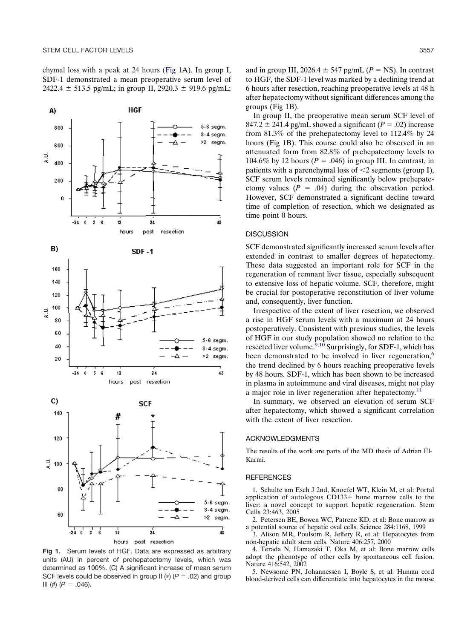<span id="page-1-0"></span>chymal loss with a peak at 24 hours (Fig 1A). In group I, SDF-1 demonstrated a mean preoperative serum level of 2422.4  $\pm$  513.5 pg/mL; in group II, 2920.3  $\pm$  919.6 pg/mL;



**Fig 1.** Serum levels of HGF. Data are expressed as arbitrary units (AU) in percent of prehepatectomy levels, which was determined as 100%. (C) A significant increase of mean serum SCF levels could be observed in group II ( $\ast$ ) ( $P = .02$ ) and group III (#)  $(P = .046)$ .

and in group III, 2026.4  $\pm$  547 pg/mL ( $P =$  NS). In contrast to HGF, the SDF-1 level was marked by a declining trend at 6 hours after resection, reaching preoperative levels at 48 h after hepatectomy without significant differences among the groups (Fig 1B).

In group II, the preoperative mean serum SCF level of 847.2  $\pm$  241.4 pg/mL showed a significant ( $P = .02$ ) increase from 81.3% of the prehepatectomy level to 112.4% by 24 hours (Fig 1B). This course could also be observed in an attenuated form from 82.8% of prehepatectomy levels to 104.6% by 12 hours ( $P = .046$ ) in group III. In contrast, in patients with a parenchymal loss of  $\leq 2$  segments (group I), SCF serum levels remained significantly below prehepatectomy values  $(P = .04)$  during the observation period. However, SCF demonstrated a significant decline toward time of completion of resection, which we designated as time point 0 hours.

#### **DISCUSSION**

SCF demonstrated significantly increased serum levels after extended in contrast to smaller degrees of hepatectomy. These data suggested an important role for SCF in the regeneration of remnant liver tissue, especially subsequent to extensive loss of hepatic volume. SCF, therefore, might be crucial for postoperative reconstitution of liver volume and, consequently, liver function.

Irrespective of the extent of liver resection, we observed a rise in HGF serum levels with a maximum at 24 hours postoperatively. Consistent with previous studies, the levels of HGF in our study population showed no relation to the resected liver volume.<sup>9,10</sup> Surprisingly, for SDF-1, which has been demonstrated to be involved in liver regeneration,<sup>6</sup> the trend declined by 6 hours reaching preoperative levels by 48 hours. SDF-1, which has been shown to be increased in plasma in autoimmune and viral diseases, might not play a major role in liver regeneration after hepatectomy.<sup>11</sup>

In summary, we observed an elevation of serum SCF after hepatectomy, which showed a significant correlation with the extent of liver resection.

#### ACKNOWLEDGMENTS

The results of the work are parts of the MD thesis of Adrian El-Karmi.

#### **REFERENCES**

1. Schulte am Esch J 2nd, Knoefel WT, Klein M, et al: Portal application of autologous  $CD133+$  bone marrow cells to the liver: a novel concept to support hepatic regeneration. Stem Cells 23:463, 2005

2. Petersen BE, Bowen WC, Patrene KD, et al: Bone marrow as a potential source of hepatic oval cells. Science 284:1168, 1999

3. Alison MR, Poulsom R, Jeffery R, et al: Hepatocytes from non-hepatic adult stem cells. Nature 406:257, 2000

4. Terada N, Hamazaki T, Oka M, et al: Bone marrow cells adopt the phenotype of other cells by spontaneous cell fusion. Nature 416:542, 2002

5. Newsome PN, Johannessen I, Boyle S, et al: Human cord blood-derived cells can differentiate into hepatocytes in the mouse